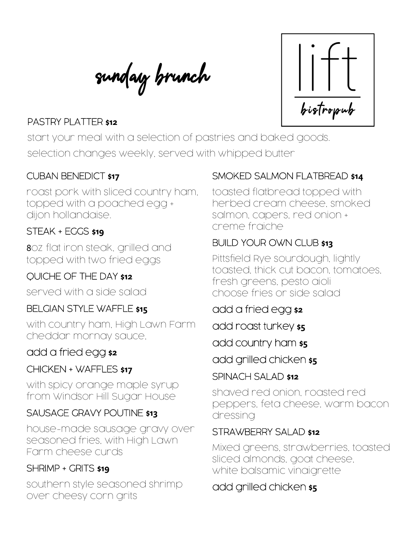sunday brunch



## PASTRY PLATTER **\$12**

start your meal with a selection of pastries and baked goods. selection changes weekly, served with whipped butter

### CUBAN BENEDICT **\$17**

roast pork with sliced country ham, topped with a poached egg + dijon hollandaise.

# STEAK + EGGS **\$19**

8oz flat iron steak, grilled and topped with two fried eggs

### QUICHE OF THE DAY **\$12**

served with a side salad

#### BELGIAN STYLE WAFFLE **\$15**

with country ham, High Lawn Farm cheddar mornay sauce,

### add a fried egg **\$2**

### CHICKEN + WAFFLES **\$17**

with spicy orange maple syrup from Windsor Hill Sugar House

#### SAUSAGE GRAVY POUTINE **\$13**

house-made sausage gravy over seasoned fries, with High Lawn Farm cheese curds

#### SHRIMP + GRITS **\$19**

southern style seasoned shrimp over cheesy corn grits

### SMOKED SALMON FLATBREAD **\$14**

toasted flatbread topped with herbed cream cheese, smoked salmon, capers, red onion + creme fraiche

### BUILD YOUR OWN CLUB **\$13**

Pittsfield Rye sourdough, lightly toasted, thick cut bacon, tomatoes, fresh greens, pesto aioli choose fries or side salad

add a fried egg **\$2**

add roast turkey **\$5**

add country ham **\$5**

add grilled chicken **\$5**

#### SPINACH SALAD **\$12**

shaved red onion, roasted red peppers, feta cheese, warm bacon dressing

#### STRAWBERRY SALAD **\$12**

Mixed greens, strawberries, toasted sliced almonds, goat cheese, white balsamic vinaigrette

### add grilled chicken **\$5**